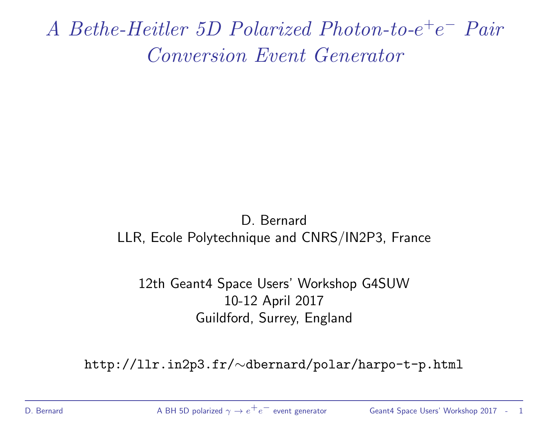A Bethe-Heitler 5D Polarized Photon-to-e<sup>+</sup>e<sup>−</sup> Pair Conversion Event Generator

#### D. Bernard LLR, Ecole Polytechnique and CNRS/IN2P3, France

#### 12th Geant4 Space Users' Workshop G4SUW 10-12 April 2017 Guildford, Surrey, England

http://llr.in2p3.fr/∼dbernard/polar/harpo-t-p.html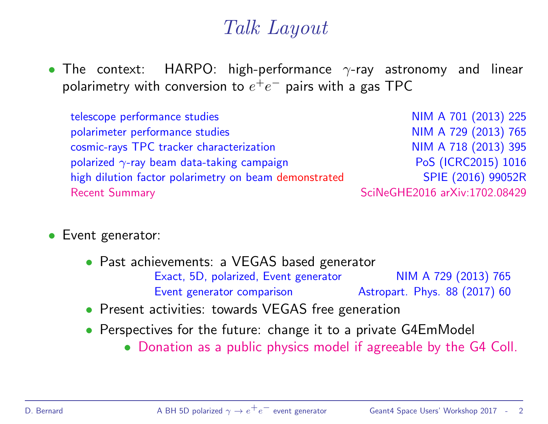## Talk Layout

• The context: HARPO: high-performance  $\gamma$ -ray astronomy and linear polarimetry with conversion to  $e^+e^-$  pairs with a gas TPC

telescope performance studies and the studies number of the NIM A 701 (2013) 225 polarimeter performance studies and the number of the NIM A 729 (2013) 765 cosmic-rays TPC tracker characterization NIM A 718 (2013) 395 polarized  $\gamma$ -ray beam data-taking campaign PoS (ICRC2015) 1016 high dilution factor polarimetry on beam demonstrated SPIE (2016) 99052R Recent Summary **ScilleGHE2016** arXiv:1702.08429

- Event generator:
	- Past achievements: a VEGAS based generator Exact, 5D, polarized, Event generator NIM A 729 (2013) 765 Event generator comparison **Astropart.** Phys. 88 (2017) 60
	- Present activities: towards VEGAS free generation
	- Perspectives for the future: change it to a private G4EmModel
		- Donation as a public physics model if agreeable by the G4 Coll.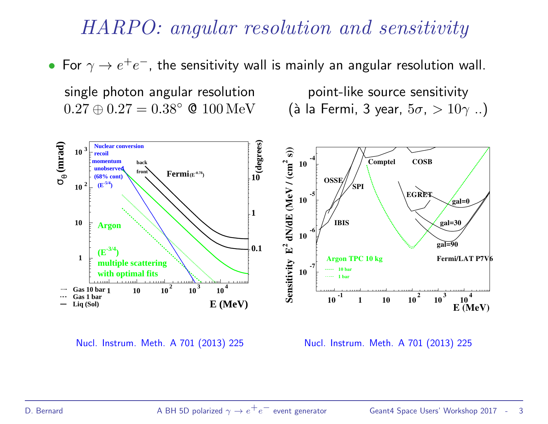## HARPO: angular resolution and sensitivity

• For  $\gamma \to e^+e^-$ , the sensitivity wall is mainly an angular resolution wall.

single photon angular resolution boint-like source sensitivity

 $0.27 \oplus 0.27 = 0.38$ °  $\odot$  100 MeV (à la Fermi, 3 year,  $5\sigma$ ,  $> 10\gamma$  ..)



Nucl. Instrum. Meth. A 701 (2013) 225 Nucl. Instrum. Meth. A 701 (2013) 225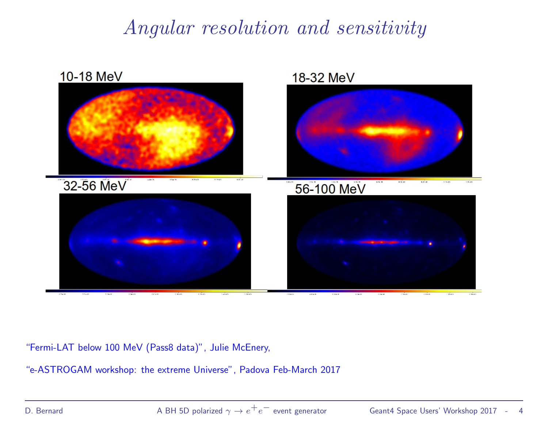## Angular resolution and sensitivity



"Fermi-LAT below 100 MeV (Pass8 data)", Julie McEnery,

"e-ASTROGAM workshop: the extreme Universe", Padova Feb-March 2017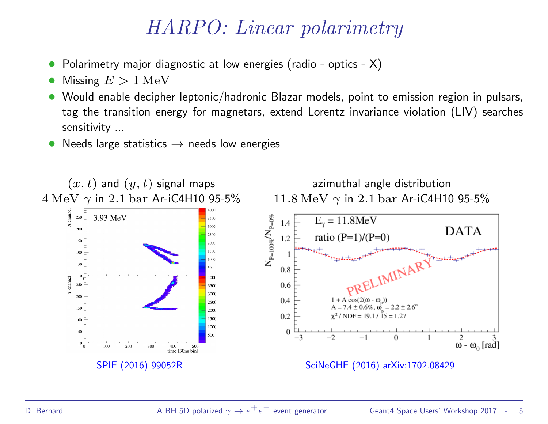## HARPO: Linear polarimetry

- Polarimetry major diagnostic at low energies (radio optics X)
- Missing  $E > 1$  MeV
- Would enable decipher leptonic/hadronic Blazar models, point to emission region in pulsars, tag the transition energy for magnetars, extend Lorentz invariance violation (LIV) searches sensitivity ...
- Needs large statistics  $\rightarrow$  needs low energies

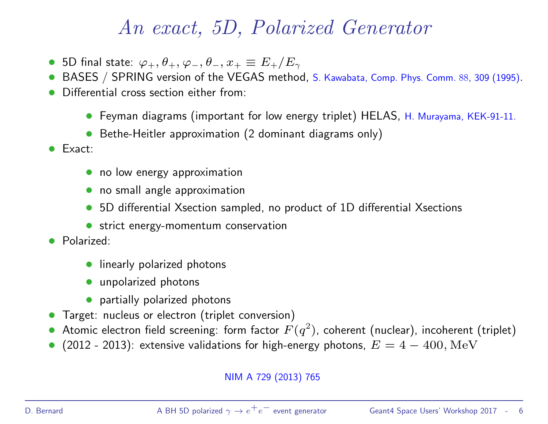## An exact, 5D, Polarized Generator

- 5D final state:  $\varphi_+, \theta_+, \varphi_-, \theta_-, x_+ \equiv E_+/E_\gamma$
- BASES / SPRING version of the VEGAS method, S. Kawabata, Comp. Phys. Comm. 88, 309 (1995).
- Differential cross section either from:
	- Feyman diagrams (important for low energy triplet) HELAS, H. Murayama, KEK-91-11.
	- Bethe-Heitler approximation (2 dominant diagrams only)
- Exact:
	- no low energy approximation
	- no small angle approximation
	- 5D differential Xsection sampled, no product of 1D differential Xsections
	- strict energy-momentum conservation
- Polarized:
	- linearly polarized photons
	- unpolarized photons
	- partially polarized photons
- Target: nucleus or electron (triplet conversion)
- $\bullet$  Atomic electron field screening: form factor  $F(q^2)$ , coherent (nuclear), incoherent (triplet)
- (2012 2013): extensive validations for high-energy photons,  $E = 4 400$ , MeV

#### NIM A 729 (2013) 765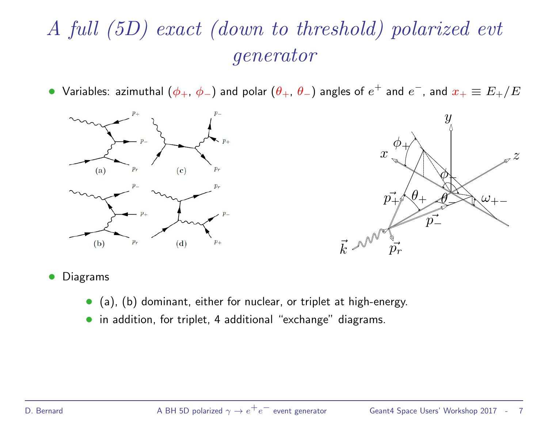# A full (5D) exact (down to threshold) polarized evt generator

• Variables: azimuthal  $(\phi_+, \, \phi_-)$  and polar  $(\theta_+, \, \theta_-)$  angles of  $e^+$  and  $e^-$ , and  $x_+ \equiv E_+/E_-$ 





#### • Diagrams

- (a), (b) dominant, either for nuclear, or triplet at high-energy.
- in addition, for triplet, 4 additional "exchange" diagrams.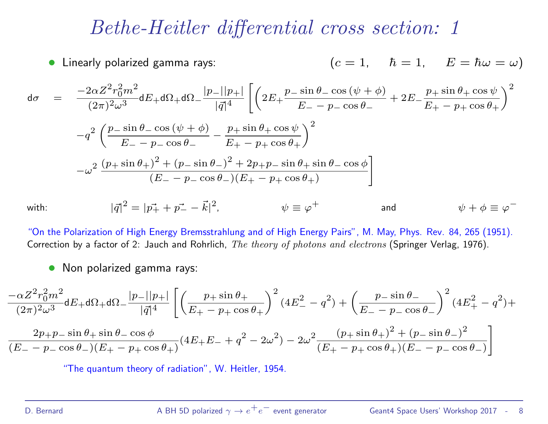#### Bethe-Heitler differential cross section: 1

• Linearly polarized gamma rays: 
$$
(c = 1, \quad \hbar = 1, \quad E = \hbar \omega = \omega)
$$

$$
d\sigma = \frac{-2\alpha Z^2 r_0^2 m^2}{(2\pi)^2 \omega^3} dE_+ d\Omega_+ d\Omega_- \frac{|p_-||p_+|}{|\vec{q}|^4} \left[ \left( 2E_+ \frac{p_{-} \sin \theta_{-} \cos (\psi + \phi)}{E_- - p_{-} \cos \theta_-} + 2E_- \frac{p_{+} \sin \theta_{+} \cos \psi}{E_+ - p_{+} \cos \theta_{+}} \right)^2 \right]
$$
  

$$
-q^2 \left( \frac{p_{-} \sin \theta_{-} \cos (\psi + \phi)}{E_- - p_{-} \cos \theta_-} - \frac{p_{+} \sin \theta_{+} \cos \psi}{E_+ - p_{+} \cos \theta_{+}} \right)^2
$$
  

$$
-\omega^2 \frac{(p_{+} \sin \theta_{+})^2 + (p_{-} \sin \theta_{-})^2 + 2p_{+}p_{-} \sin \theta_{+} \sin \theta_{-} \cos \phi}{(E_- - p_{-} \cos \theta_{-})(E_+ - p_{+} \cos \theta_{+})}
$$

 $with:$ 

"On the Polarization of High Energy Bremsstrahlung and of High Energy Pairs", M. May, Phys. Rev. 84, 265 (1951). Correction by a factor of 2: Jauch and Rohrlich, The theory of photons and electrons (Springer Verlag, 1976).

 $\psi \equiv \varphi^+$ 

• Non polarized gamma rays:

$$
\frac{-\alpha Z^2 r_0^2 m^2}{(2\pi)^2 \omega^3} dE_+ d\Omega_+ d\Omega_- \frac{|p_-||p_+|}{|\vec{q}|^4} \left[ \left( \frac{p_+ \sin \theta_+}{E_+ - p_+ \cos \theta_+} \right)^2 (4E_-^2 - q^2) + \left( \frac{p_- \sin \theta_-}{E_- - p_- \cos \theta_-} \right)^2 (4E_+^2 - q^2) + \frac{2p_+ p_- \sin \theta_+ \sin \theta_- \cos \phi}{(E_- - p_- \cos \theta_-)(E_+ - p_+ \cos \theta_+)} (4E_+ E_- + q^2 - 2\omega^2) - 2\omega^2 \frac{(p_+ \sin \theta_+)^2 + (p_- \sin \theta_-)^2}{(E_+ - p_+ \cos \theta_+)(E_- - p_- \cos \theta_-)} \right]
$$

"The quantum theory of radiation", W. Heitler, 1954.

 $2 = |\vec{p_+} + \vec{p_-} - \vec{k}|^2$ 

+ and  $\psi + \phi \equiv \varphi^{-}$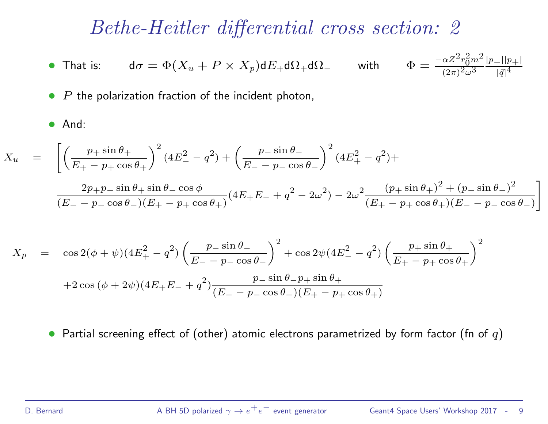#### Bethe-Heitler differential cross section: 2

• That is:  $d\sigma = \Phi(X_u + P \times X_p) dE_+ d\Omega_+ d\Omega_-$  with  $r_0^2m^2$  $\sqrt{(2\pi)^2\omega^3}$  $|p_-||p_+|$  $|\vec{q}|^{\frac{1}{4}}$ 

 $P$  the polarization fraction of the incident photon,

#### • And:

$$
X_u = \left[ \left( \frac{p_+ \sin \theta_+}{E_+ - p_+ \cos \theta_+} \right)^2 (4E_-^2 - q^2) + \left( \frac{p_- \sin \theta_-}{E_- - p_- \cos \theta_-} \right)^2 (4E_+^2 - q^2) + \right]
$$

$$
\frac{2p_+p_-\sin\theta_+\sin\theta_-\cos\phi}{(E_--p_-\cos\theta_-)(E_+-p_+\cos\theta_+)}(4E_+E_-+q^2-2\omega^2)-2\omega^2\frac{(p_+\sin\theta_+)^2+(p_-\sin\theta_-)^2}{(E_+-p_+\cos\theta_+)(E_--p_-\cos\theta_-)}\Bigg]
$$

$$
X_p = \cos 2(\phi + \psi)(4E_+^2 - q^2) \left(\frac{p_{-} \sin \theta_{-}}{E_{-} - p_{-} \cos \theta_{-}}\right)^2 + \cos 2\psi(4E_-^2 - q^2) \left(\frac{p_{+} \sin \theta_{+}}{E_{+} - p_{+} \cos \theta_{+}}\right)^2
$$
  
+2 cos (\phi + 2\psi)(4E\_{+}E\_{-} + q^2) \frac{p\_{-} \sin \theta\_{-} p\_{+} \sin \theta\_{+}}{(E\_{-} - p\_{-} \cos \theta\_{-})(E\_{+} - p\_{+} \cos \theta\_{+})}

• Partial screening effect of (other) atomic electrons parametrized by form factor (fn of  $q$ )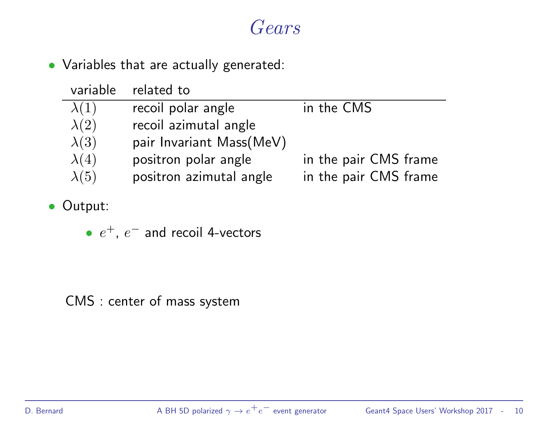#### Gears

• Variables that are actually generated:

| variable     | related to               |                       |
|--------------|--------------------------|-----------------------|
| $\lambda(1)$ | recoil polar angle       | in the CMS            |
| $\lambda(2)$ | recoil azimutal angle    |                       |
| $\lambda(3)$ | pair Invariant Mass(MeV) |                       |
| $\lambda(4)$ | positron polar angle     | in the pair CMS frame |
| $\lambda(5)$ | positron azimutal angle  | in the pair CMS frame |

- Output:
	- $e^+$ ,  $e^-$  and recoil 4-vectors

CMS : center of mass system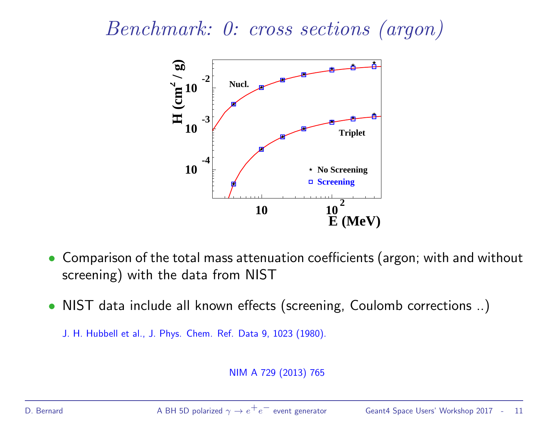Benchmark: 0: cross sections (argon)



- Comparison of the total mass attenuation coefficients (argon; with and without screening) with the data from NIST
- NIST data include all known effects (screening, Coulomb corrections ..)

```
J. H. Hubbell et al., J. Phys. Chem. Ref. Data 9, 1023 (1980).
```
NIM A 729 (2013) 765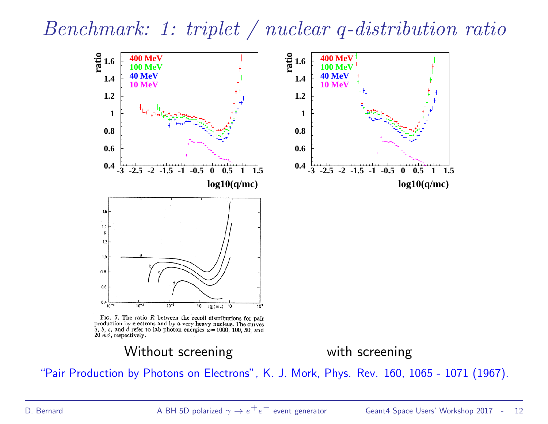Benchmark: 1: triplet / nuclear q-distribution ratio



FIG. 7. The ratio  $R$  between the recoil distributions for pair production by electrons and by a very heavy nucleus. The curves a, b, c, and d refer to lab photon energies  $\omega = 1000$ , 100, 50, and  $20$  mc<sup>2</sup>, respectively.

Without screening with screening

"Pair Production by Photons on Electrons", K. J. Mork, Phys. Rev. 160, 1065 - 1071 (1967).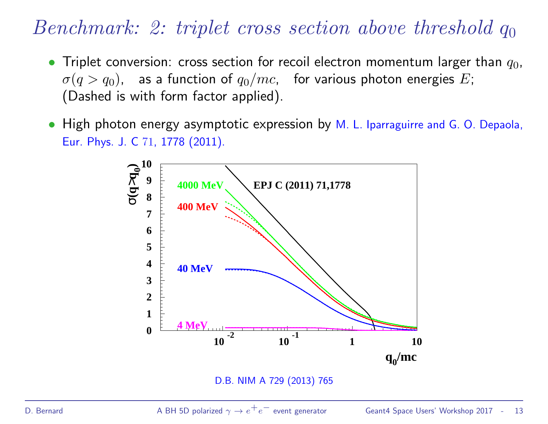## Benchmark: 2: triplet cross section above threshold  $q_0$

- Triplet conversion: cross section for recoil electron momentum larger than  $q_0$ ,  $\sigma(q > q_0)$ , as a function of  $q_0/mc$ , for various photon energies E; (Dashed is with form factor applied).
- High photon energy asymptotic expression by M. L. Iparraguirre and G. O. Depaola, Eur. Phys. J. C 71, 1778 (2011).



D.B. NIM A 729 (2013) 765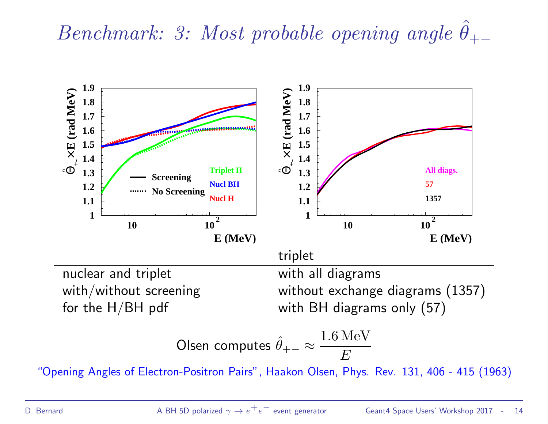Benchmark: 3: Most probable opening angle  $\hat{\theta}_{+-}$ 

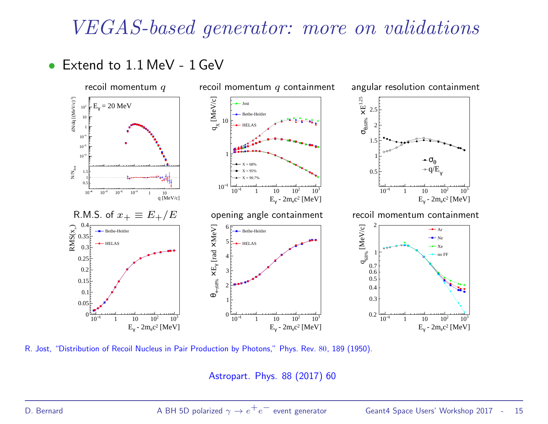#### VEGAS-based generator: more on validations

• Extend to 1.1 MeV - 1 GeV



R. Jost, "Distribution of Recoil Nucleus in Pair Production by Photons," Phys. Rev. 80, 189 (1950).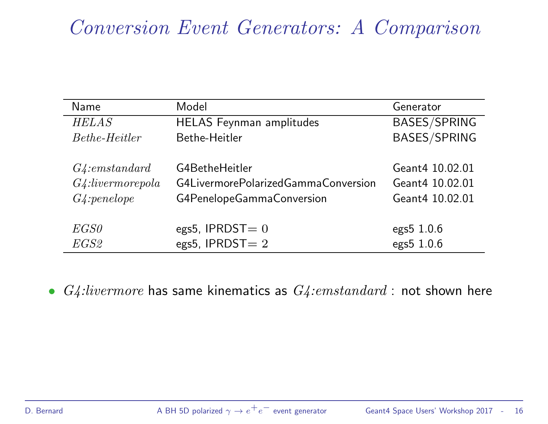## Conversion Event Generators: A Comparison

| Name                 | Model                               | Generator           |
|----------------------|-------------------------------------|---------------------|
| <b>HELAS</b>         | <b>HELAS</b> Feynman amplitudes     | <b>BASES/SPRING</b> |
| <i>Bethe-Heitler</i> | Bethe-Heitler                       | <b>BASES/SPRING</b> |
|                      |                                     |                     |
| G4:emstandard        | G4BetheHeitler                      | Geant4 10.02.01     |
| $G4$ :livermorepola  | G4LivermorePolarizedGammaConversion | Geant4 10.02.01     |
| $G4$ : penelope      | G4PenelopeGammaConversion           | Geant4 10.02.01     |
|                      |                                     |                     |
| EGS0                 | egs5, IPRDST $= 0$                  | $egs5$ 1.0.6        |
| <i>EGS2</i>          | egs5, IPRDST $= 2$                  | egs5 1.0.6          |

•  $G4:livermore$  has same kinematics as  $G4:emstandard:$  not shown here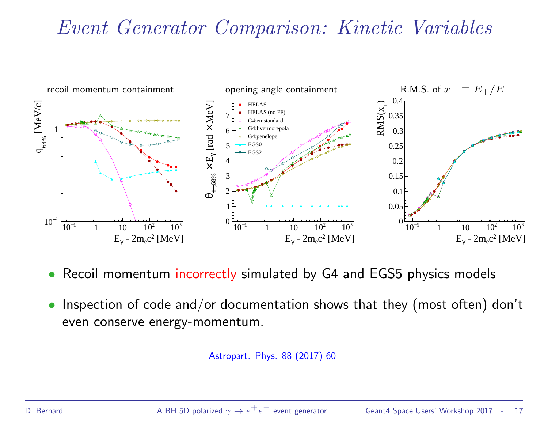## Event Generator Comparison: Kinetic Variables



- Recoil momentum incorrectly simulated by G4 and EGS5 physics models
- Inspection of code and/or documentation shows that they (most often) don't even conserve energy-momentum.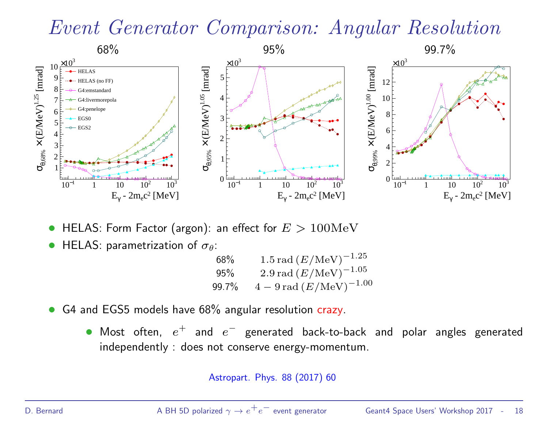## Event Generator Comparison: Angular Resolution



- HELAS: Form Factor (argon): an effect for  $E > 100 \text{MeV}$
- **HELAS:** parametrization of  $\sigma_{\theta}$ :

| 68%   | 1.5 rad $(E/{\rm MeV})^{-1.25}$                |
|-------|------------------------------------------------|
| 95%   | 2.9 rad $(E/{\rm MeV})^{-1.05}$                |
| 99.7% | $4-9 \,\mathrm{rad}\,(E/\mathrm{MeV})^{-1.00}$ |

- G4 and EGS5 models have 68% angular resolution crazy.
	- Most often,  $e^+$  and  $e^-$  generated back-to-back and polar angles generated independently : does not conserve energy-momentum.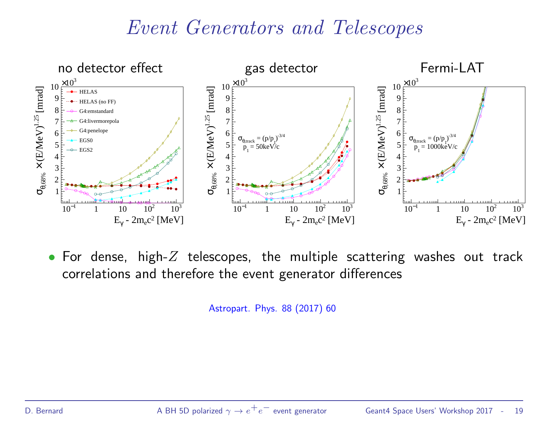## Event Generators and Telescopes



• For dense, high- $Z$  telescopes, the multiple scattering washes out track correlations and therefore the event generator differences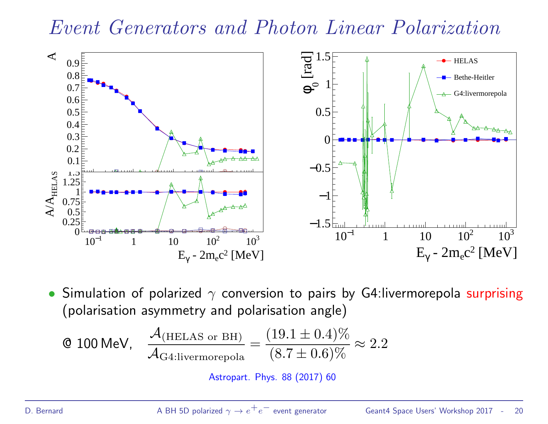#### Event Generators and Photon Linear Polarization



• Simulation of polarized  $\gamma$  conversion to pairs by G4:livermorepola surprising (polarisation asymmetry and polarisation angle)

$$
\text{Q 100 MeV,} \quad \frac{\mathcal{A}_{\text{(HELAS or BH)}}}{\mathcal{A}_{\text{G4:livermorepola}}} = \frac{(19.1 \pm 0.4)\%}{(8.7 \pm 0.6)\%} \approx 2.2
$$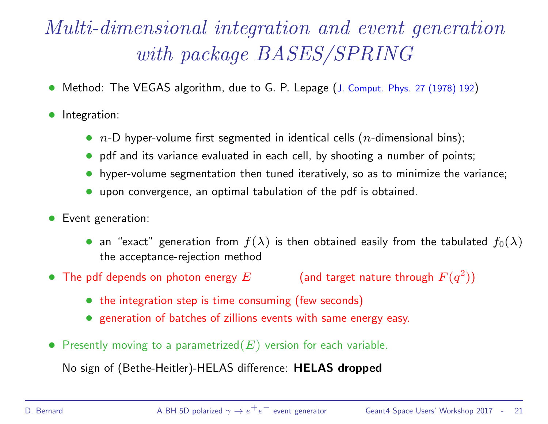# Multi-dimensional integration and event generation with package BASES/SPRING

- Method: The VEGAS algorithm, due to G. P. Lepage (J. Comput. Phys. 27 (1978) 192)
- Integration:
	- $n$ -D hyper-volume first segmented in identical cells ( $n$ -dimensional bins);
	- pdf and its variance evaluated in each cell, by shooting a number of points;
	- hyper-volume segmentation then tuned iteratively, so as to minimize the variance;
	- upon convergence, an optimal tabulation of the pdf is obtained.
- Event generation:
	- an "exact" generation from  $f(\lambda)$  is then obtained easily from the tabulated  $f_0(\lambda)$ the acceptance-rejection method
- The pdf depends on photon energy  $E$  $^{2})$ 
	- the integration step is time consuming (few seconds)
	- generation of batches of zillions events with same energy easy.
- Presently moving to a parametrized $(E)$  version for each variable.

No sign of (Bethe-Heitler)-HELAS difference: HELAS dropped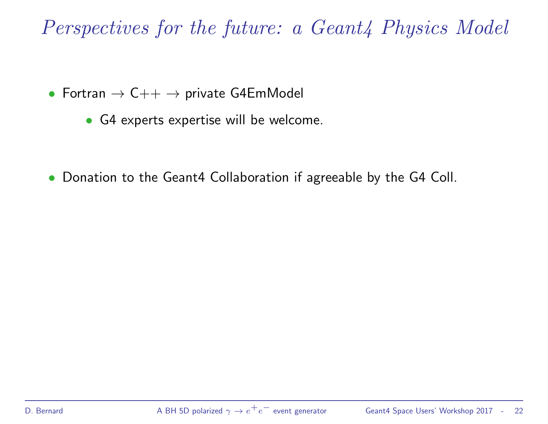Perspectives for the future: a Geant<sub>4</sub> Physics Model

- Fortran  $\rightarrow$  C++  $\rightarrow$  private G4EmModel
	- G4 experts expertise will be welcome.
- Donation to the Geant4 Collaboration if agreeable by the G4 Coll.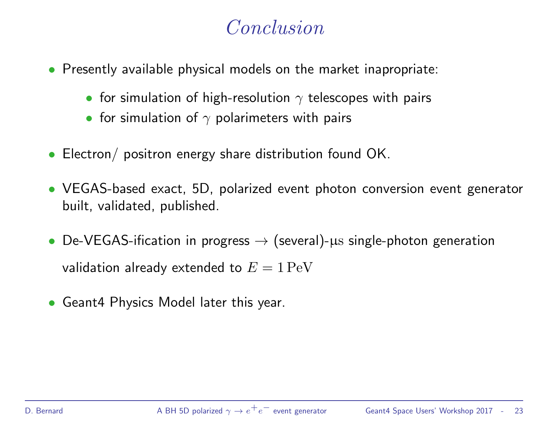## Conclusion

- Presently available physical models on the market inapropriate:
	- for simulation of high-resolution  $\gamma$  telescopes with pairs
	- for simulation of  $\gamma$  polarimeters with pairs
- Electron/ positron energy share distribution found OK.
- VEGAS-based exact, 5D, polarized event photon conversion event generator built, validated, published.
- De-VEGAS-ification in progress  $\rightarrow$  (several)- $\mu$ s single-photon generation validation already extended to  $E = 1 \,\mathrm{PeV}$
- Geant4 Physics Model later this year.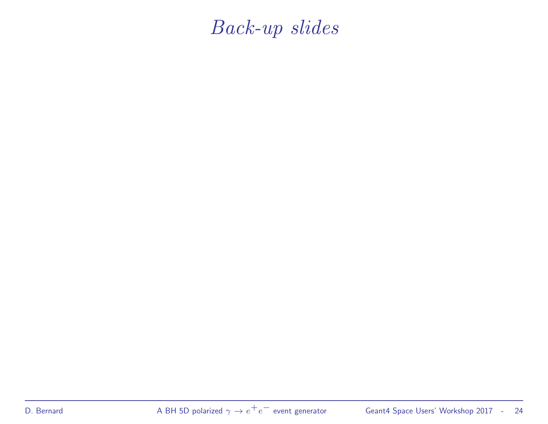Back-up slides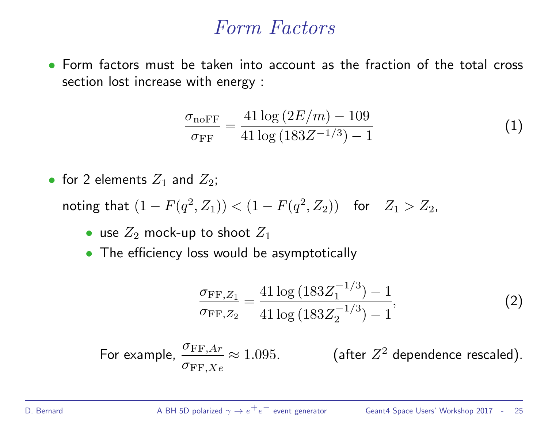#### Form Factors

• Form factors must be taken into account as the fraction of the total cross section lost increase with energy :

$$
\frac{\sigma_{\text{noFF}}}{\sigma_{\text{FF}}} = \frac{41 \log \left( 2E/m \right) - 109}{41 \log \left( 183 Z^{-1/3} \right) - 1} \tag{1}
$$

• for 2 elements  $Z_1$  and  $Z_2$ ;

noting that  $(1 - F(q^2, Z_1)) < (1 - F(q^2, Z_2))$  for  $Z_1 > Z_2$ ,

- use  $Z_2$  mock-up to shoot  $Z_1$
- The efficiency loss would be asymptotically

$$
\frac{\sigma_{\text{FF},Z_1}}{\sigma_{\text{FF},Z_2}} = \frac{41 \log \left( 183 Z_1^{-1/3} \right) - 1}{41 \log \left( 183 Z_2^{-1/3} \right) - 1},\tag{2}
$$

For example,  $\frac{\sigma_{\text{FF},Ar}}{\sim} \approx 1.095$ . (after Z  $\sigma_{\mathrm{FF},Xe}$ (after  $Z^2$  dependence rescaled).